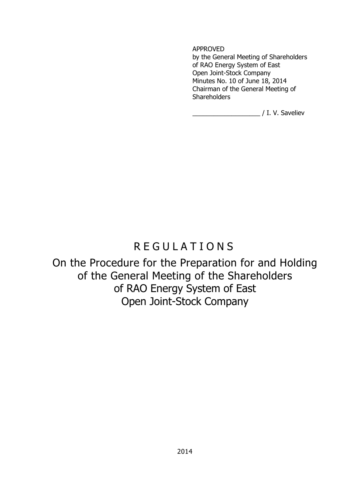APPROVED

by the General Meeting of Shareholders of RAO Energy System of East Open Joint-Stock Company Minutes No. 10 of June 18, 2014 Chairman of the General Meeting of **Shareholders** 

\_\_\_\_\_\_\_\_\_\_\_\_\_\_\_\_\_\_\_ / I. V. Saveliev

# R E G U L A T I O N S

On the Procedure for the Preparation for and Holding of the General Meeting of the Shareholders of RAO Energy System of East Open Joint-Stock Company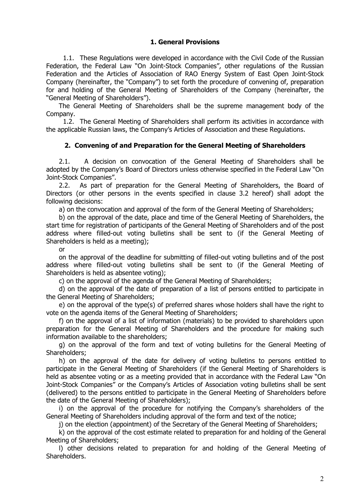## **1. General Provisions**

1.1. These Regulations were developed in accordance with the Civil Code of the Russian Federation, the Federal Law "On Joint-Stock Companies", other regulations of the Russian Federation and the Articles of Association of RAO Energy System of East Open Joint-Stock Company (hereinafter, the "Company") to set forth the procedure of convening of, preparation for and holding of the General Meeting of Shareholders of the Company (hereinafter, the "General Meeting of Shareholders").

The General Meeting of Shareholders shall be the supreme management body of the Company.

1.2. The General Meeting of Shareholders shall perform its activities in accordance with the applicable Russian laws, the Company's Articles of Association and these Regulations.

## **2. Convening of and Preparation for the General Meeting of Shareholders**

2.1. A decision on convocation of the General Meeting of Shareholders shall be adopted by the Company's Board of Directors unless otherwise specified in the Federal Law "On Joint-Stock Companies".

2.2. As part of preparation for the General Meeting of Shareholders, the Board of Directors (or other persons in the events specified in clause 3.2 hereof) shall adopt the following decisions:

a) on the convocation and approval of the form of the General Meeting of Shareholders;

b) on the approval of the date, place and time of the General Meeting of Shareholders, the start time for registration of participants of the General Meeting of Shareholders and of the post address where filled-out voting bulletins shall be sent to (if the General Meeting of Shareholders is held as a meeting);

or

on the approval of the deadline for submitting of filled-out voting bulletins and of the post address where filled-out voting bulletins shall be sent to (if the General Meeting of Shareholders is held as absentee voting);

c) on the approval of the agenda of the General Meeting of Shareholders;

d) on the approval of the date of preparation of a list of persons entitled to participate in the General Meeting of Shareholders;

e) on the approval of the type(s) of preferred shares whose holders shall have the right to vote on the agenda items of the General Meeting of Shareholders;

f) on the approval of a list of information (materials) to be provided to shareholders upon preparation for the General Meeting of Shareholders and the procedure for making such information available to the shareholders;

g) on the approval of the form and text of voting bulletins for the General Meeting of Shareholders;

h) on the approval of the date for delivery of voting bulletins to persons entitled to participate in the General Meeting of Shareholders (if the General Meeting of Shareholders is held as absentee voting or as a meeting provided that in accordance with the Federal Law "On Joint-Stock Companies" or the Company's Articles of Association voting bulletins shall be sent (delivered) to the persons entitled to participate in the General Meeting of Shareholders before the date of the General Meeting of Shareholders);

i) on the approval of the procedure for notifying the Company's shareholders of the General Meeting of Shareholders including approval of the form and text of the notice;

j) on the election (appointment) of the Secretary of the General Meeting of Shareholders;

k) on the approval of the cost estimate related to preparation for and holding of the General Meeting of Shareholders;

l) other decisions related to preparation for and holding of the General Meeting of Shareholders.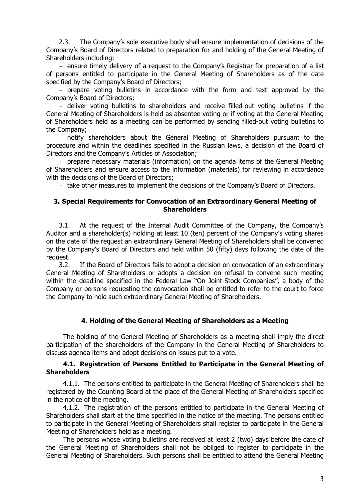2.3. The Company's sole executive body shall ensure implementation of decisions of the Company's Board of Directors related to preparation for and holding of the General Meeting of Shareholders including:

- ensure timely delivery of a request to the Company's Registrar for preparation of a list of persons entitled to participate in the General Meeting of Shareholders as of the date specified by the Company's Board of Directors;

- prepare voting bulletins in accordance with the form and text approved by the Company's Board of Directors;

- deliver voting bulletins to shareholders and receive filled-out voting bulletins if the General Meeting of Shareholders is held as absentee voting or if voting at the General Meeting of Shareholders held as a meeting can be performed by sending filled-out voting bulletins to the Company;

- notify shareholders about the General Meeting of Shareholders pursuant to the procedure and within the deadlines specified in the Russian laws, a decision of the Board of Directors and the Company's Articles of Association;

- prepare necessary materials (information) on the agenda items of the General Meeting of Shareholders and ensure access to the information (materials) for reviewing in accordance with the decisions of the Board of Directors;

- take other measures to implement the decisions of the Company's Board of Directors.

#### **3. Special Requirements for Convocation of an Extraordinary General Meeting of Shareholders**

3.1. At the request of the Internal Audit Committee of the Company, the Company's Auditor and a shareholder(s) holding at least 10 (ten) percent of the Company's voting shares on the date of the request an extraordinary General Meeting of Shareholders shall be convened by the Company's Board of Directors and held within 50 (fifty) days following the date of the request.

3.2. If the Board of Directors fails to adopt a decision on convocation of an extraordinary General Meeting of Shareholders or adopts a decision on refusal to convene such meeting within the deadline specified in the Federal Law "On Joint-Stock Companies", a body of the Company or persons requesting the convocation shall be entitled to refer to the court to force the Company to hold such extraordinary General Meeting of Shareholders.

#### **4. Holding of the General Meeting of Shareholders as a Meeting**

The holding of the General Meeting of Shareholders as a meeting shall imply the direct participation of the shareholders of the Company in the General Meeting of Shareholders to discuss agenda items and adopt decisions on issues put to a vote.

#### **4.1. Registration of Persons Entitled to Participate in the General Meeting of Shareholders**

4.1.1. The persons entitled to participate in the General Meeting of Shareholders shall be registered by the Counting Board at the place of the General Meeting of Shareholders specified in the notice of the meeting.

4.1.2. The registration of the persons entitled to participate in the General Meeting of Shareholders shall start at the time specified in the notice of the meeting. The persons entitled to participate in the General Meeting of Shareholders shall register to participate in the General Meeting of Shareholders held as a meeting.

The persons whose voting bulletins are received at least 2 (two) days before the date of the General Meeting of Shareholders shall not be obliged to register to participate in the General Meeting of Shareholders. Such persons shall be entitled to attend the General Meeting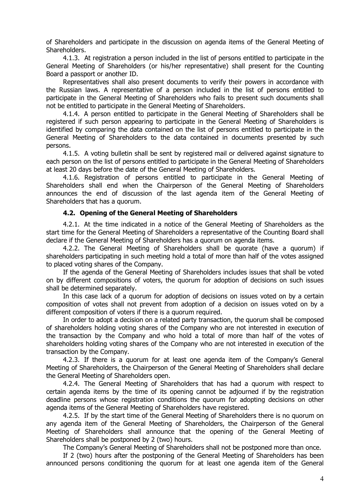of Shareholders and participate in the discussion on agenda items of the General Meeting of Shareholders.

4.1.3. At registration a person included in the list of persons entitled to participate in the General Meeting of Shareholders (or his/her representative) shall present for the Counting Board a passport or another ID.

Representatives shall also present documents to verify their powers in accordance with the Russian laws. A representative of a person included in the list of persons entitled to participate in the General Meeting of Shareholders who fails to present such documents shall not be entitled to participate in the General Meeting of Shareholders.

4.1.4. A person entitled to participate in the General Meeting of Shareholders shall be registered if such person appearing to participate in the General Meeting of Shareholders is identified by comparing the data contained on the list of persons entitled to participate in the General Meeting of Shareholders to the data contained in documents presented by such persons.

4.1.5. A voting bulletin shall be sent by registered mail or delivered against signature to each person on the list of persons entitled to participate in the General Meeting of Shareholders at least 20 days before the date of the General Meeting of Shareholders.

4.1.6. Registration of persons entitled to participate in the General Meeting of Shareholders shall end when the Chairperson of the General Meeting of Shareholders announces the end of discussion of the last agenda item of the General Meeting of Shareholders that has a quorum.

#### **4.2. Opening of the General Meeting of Shareholders**

4.2.1. At the time indicated in a notice of the General Meeting of Shareholders as the start time for the General Meeting of Shareholders a representative of the Counting Board shall declare if the General Meeting of Shareholders has a quorum on agenda items.

4.2.2. The General Meeting of Shareholders shall be quorate (have a quorum) if shareholders participating in such meeting hold a total of more than half of the votes assigned to placed voting shares of the Company.

If the agenda of the General Meeting of Shareholders includes issues that shall be voted on by different compositions of voters, the quorum for adoption of decisions on such issues shall be determined separately.

In this case lack of a quorum for adoption of decisions on issues voted on by a certain composition of votes shall not prevent from adoption of a decision on issues voted on by a different composition of voters if there is a quorum required.

In order to adopt a decision on a related party transaction, the quorum shall be composed of shareholders holding voting shares of the Company who are not interested in execution of the transaction by the Company and who hold a total of more than half of the votes of shareholders holding voting shares of the Company who are not interested in execution of the transaction by the Company.

4.2.3. If there is a quorum for at least one agenda item of the Company's General Meeting of Shareholders, the Chairperson of the General Meeting of Shareholders shall declare the General Meeting of Shareholders open.

4.2.4. The General Meeting of Shareholders that has had a quorum with respect to certain agenda items by the time of its opening cannot be adjourned if by the registration deadline persons whose registration conditions the quorum for adopting decisions on other agenda items of the General Meeting of Shareholders have registered.

4.2.5. If by the start time of the General Meeting of Shareholders there is no quorum on any agenda item of the General Meeting of Shareholders, the Chairperson of the General Meeting of Shareholders shall announce that the opening of the General Meeting of Shareholders shall be postponed by 2 (two) hours.

The Company's General Meeting of Shareholders shall not be postponed more than once.

If 2 (two) hours after the postponing of the General Meeting of Shareholders has been announced persons conditioning the quorum for at least one agenda item of the General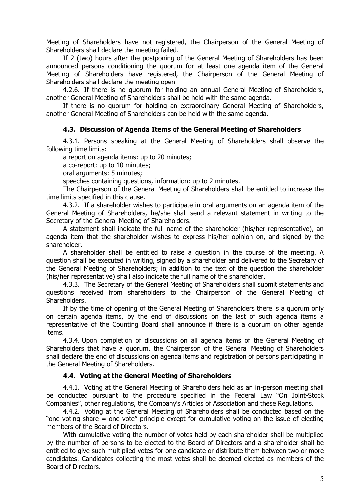Meeting of Shareholders have not registered, the Chairperson of the General Meeting of Shareholders shall declare the meeting failed.

If 2 (two) hours after the postponing of the General Meeting of Shareholders has been announced persons conditioning the quorum for at least one agenda item of the General Meeting of Shareholders have registered, the Chairperson of the General Meeting of Shareholders shall declare the meeting open.

4.2.6. If there is no quorum for holding an annual General Meeting of Shareholders, another General Meeting of Shareholders shall be held with the same agenda.

If there is no quorum for holding an extraordinary General Meeting of Shareholders, another General Meeting of Shareholders can be held with the same agenda.

#### **4.3. Discussion of Agenda Items of the General Meeting of Shareholders**

4.3.1. Persons speaking at the General Meeting of Shareholders shall observe the following time limits:

a report on agenda items: up to 20 minutes;

a co-report: up to 10 minutes;

oral arguments: 5 minutes;

speeches containing questions, information: up to 2 minutes.

The Chairperson of the General Meeting of Shareholders shall be entitled to increase the time limits specified in this clause.

4.3.2. If a shareholder wishes to participate in oral arguments on an agenda item of the General Meeting of Shareholders, he/she shall send a relevant statement in writing to the Secretary of the General Meeting of Shareholders.

A statement shall indicate the full name of the shareholder (his/her representative), an agenda item that the shareholder wishes to express his/her opinion on, and signed by the shareholder.

A shareholder shall be entitled to raise a question in the course of the meeting. A question shall be executed in writing, signed by a shareholder and delivered to the Secretary of the General Meeting of Shareholders; in addition to the text of the question the shareholder (his/her representative) shall also indicate the full name of the shareholder.

4.3.3. The Secretary of the General Meeting of Shareholders shall submit statements and questions received from shareholders to the Chairperson of the General Meeting of Shareholders.

If by the time of opening of the General Meeting of Shareholders there is a quorum only on certain agenda items, by the end of discussions on the last of such agenda items a representative of the Counting Board shall announce if there is a quorum on other agenda items.

4.3.4. Upon completion of discussions on all agenda items of the General Meeting of Shareholders that have a quorum, the Chairperson of the General Meeting of Shareholders shall declare the end of discussions on agenda items and registration of persons participating in the General Meeting of Shareholders.

#### **4.4. Voting at the General Meeting of Shareholders**

4.4.1. Voting at the General Meeting of Shareholders held as an in-person meeting shall be conducted pursuant to the procedure specified in the Federal Law "On Joint-Stock Companies", other regulations, the Company's Articles of Association and these Regulations.

4.4.2. Voting at the General Meeting of Shareholders shall be conducted based on the "one voting share = one vote" principle except for cumulative voting on the issue of electing members of the Board of Directors.

With cumulative voting the number of votes held by each shareholder shall be multiplied by the number of persons to be elected to the Board of Directors and a shareholder shall be entitled to give such multiplied votes for one candidate or distribute them between two or more candidates. Candidates collecting the most votes shall be deemed elected as members of the Board of Directors.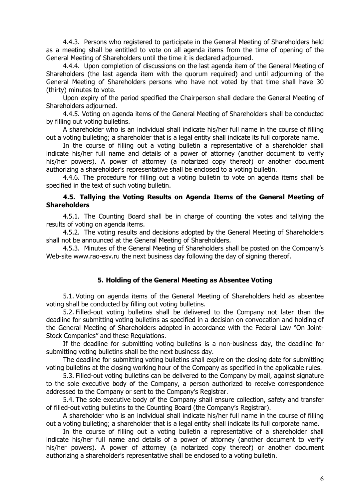4.4.3. Persons who registered to participate in the General Meeting of Shareholders held as a meeting shall be entitled to vote on all agenda items from the time of opening of the General Meeting of Shareholders until the time it is declared adjourned.

4.4.4. Upon completion of discussions on the last agenda item of the General Meeting of Shareholders (the last agenda item with the quorum required) and until adjourning of the General Meeting of Shareholders persons who have not voted by that time shall have 30 (thirty) minutes to vote.

Upon expiry of the period specified the Chairperson shall declare the General Meeting of Shareholders adjourned.

4.4.5. Voting on agenda items of the General Meeting of Shareholders shall be conducted by filling out voting bulletins.

A shareholder who is an individual shall indicate his/her full name in the course of filling out a voting bulleting; a shareholder that is a legal entity shall indicate its full corporate name.

In the course of filling out a voting bulletin a representative of a shareholder shall indicate his/her full name and details of a power of attorney (another document to verify his/her powers). A power of attorney (a notarized copy thereof) or another document authorizing a shareholder's representative shall be enclosed to a voting bulletin.

4.4.6. The procedure for filling out a voting bulletin to vote on agenda items shall be specified in the text of such voting bulletin.

#### **4.5. Tallying the Voting Results on Agenda Items of the General Meeting of Shareholders**

4.5.1. The Counting Board shall be in charge of counting the votes and tallying the results of voting on agenda items.

4.5.2. The voting results and decisions adopted by the General Meeting of Shareholders shall not be announced at the General Meeting of Shareholders.

4.5.3. Minutes of the General Meeting of Shareholders shall be posted on the Company's Web-site www.rao-esv.ru the next business day following the day of signing thereof.

#### **5. Holding of the General Meeting as Absentee Voting**

5.1. Voting on agenda items of the General Meeting of Shareholders held as absentee voting shall be conducted by filling out voting bulletins.

5.2. Filled-out voting bulletins shall be delivered to the Company not later than the deadline for submitting voting bulletins as specified in a decision on convocation and holding of the General Meeting of Shareholders adopted in accordance with the Federal Law "On Joint-Stock Companies" and these Regulations.

If the deadline for submitting voting bulletins is a non-business day, the deadline for submitting voting bulletins shall be the next business day.

The deadline for submitting voting bulletins shall expire on the closing date for submitting voting bulletins at the closing working hour of the Company as specified in the applicable rules.

5.3. Filled-out voting bulletins can be delivered to the Company by mail, against signature to the sole executive body of the Company, a person authorized to receive correspondence addressed to the Company or sent to the Company's Registrar.

5.4. The sole executive body of the Company shall ensure collection, safety and transfer of filled-out voting bulletins to the Counting Board (the Company's Registrar).

A shareholder who is an individual shall indicate his/her full name in the course of filling out a voting bulleting; a shareholder that is a legal entity shall indicate its full corporate name.

In the course of filling out a voting bulletin a representative of a shareholder shall indicate his/her full name and details of a power of attorney (another document to verify his/her powers). A power of attorney (a notarized copy thereof) or another document authorizing a shareholder's representative shall be enclosed to a voting bulletin.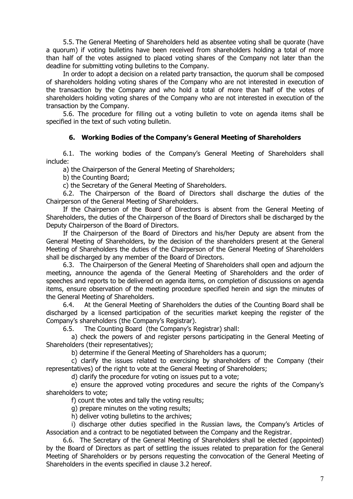5.5. The General Meeting of Shareholders held as absentee voting shall be quorate (have a quorum) if voting bulletins have been received from shareholders holding a total of more than half of the votes assigned to placed voting shares of the Company not later than the deadline for submitting voting bulletins to the Company.

In order to adopt a decision on a related party transaction, the quorum shall be composed of shareholders holding voting shares of the Company who are not interested in execution of the transaction by the Company and who hold a total of more than half of the votes of shareholders holding voting shares of the Company who are not interested in execution of the transaction by the Company.

5.6. The procedure for filling out a voting bulletin to vote on agenda items shall be specified in the text of such voting bulletin.

#### **6. Working Bodies of the Company's General Meeting of Shareholders**

6.1. The working bodies of the Company's General Meeting of Shareholders shall include:

a) the Chairperson of the General Meeting of Shareholders;

b) the Counting Board;

c) the Secretary of the General Meeting of Shareholders.

6.2. The Chairperson of the Board of Directors shall discharge the duties of the Chairperson of the General Meeting of Shareholders.

If the Chairperson of the Board of Directors is absent from the General Meeting of Shareholders, the duties of the Chairperson of the Board of Directors shall be discharged by the Deputy Chairperson of the Board of Directors.

If the Chairperson of the Board of Directors and his/her Deputy are absent from the General Meeting of Shareholders, by the decision of the shareholders present at the General Meeting of Shareholders the duties of the Chairperson of the General Meeting of Shareholders shall be discharged by any member of the Board of Directors.

6.3. The Chairperson of the General Meeting of Shareholders shall open and adjourn the meeting, announce the agenda of the General Meeting of Shareholders and the order of speeches and reports to be delivered on agenda items, on completion of discussions on agenda items, ensure observation of the meeting procedure specified herein and sign the minutes of the General Meeting of Shareholders.

6.4. At the General Meeting of Shareholders the duties of the Counting Board shall be discharged by a licensed participation of the securities market keeping the register of the Company's shareholders (the Company's Registrar).

6.5. The Counting Board (the Company's Registrar) shall:

a) check the powers of and register persons participating in the General Meeting of Shareholders (their representatives);

b) determine if the General Meeting of Shareholders has a quorum;

c) clarify the issues related to exercising by shareholders of the Company (their representatives) of the right to vote at the General Meeting of Shareholders;

d) clarify the procedure for voting on issues put to a vote;

e) ensure the approved voting procedures and secure the rights of the Company's shareholders to vote;

f) count the votes and tally the voting results;

g) prepare minutes on the voting results;

h) deliver voting bulletins to the archives;

i) discharge other duties specified in the Russian laws, the Company's Articles of Association and a contract to be negotiated between the Company and the Registrar.

6.6. The Secretary of the General Meeting of Shareholders shall be elected (appointed) by the Board of Directors as part of settling the issues related to preparation for the General Meeting of Shareholders or by persons requesting the convocation of the General Meeting of Shareholders in the events specified in clause 3.2 hereof.